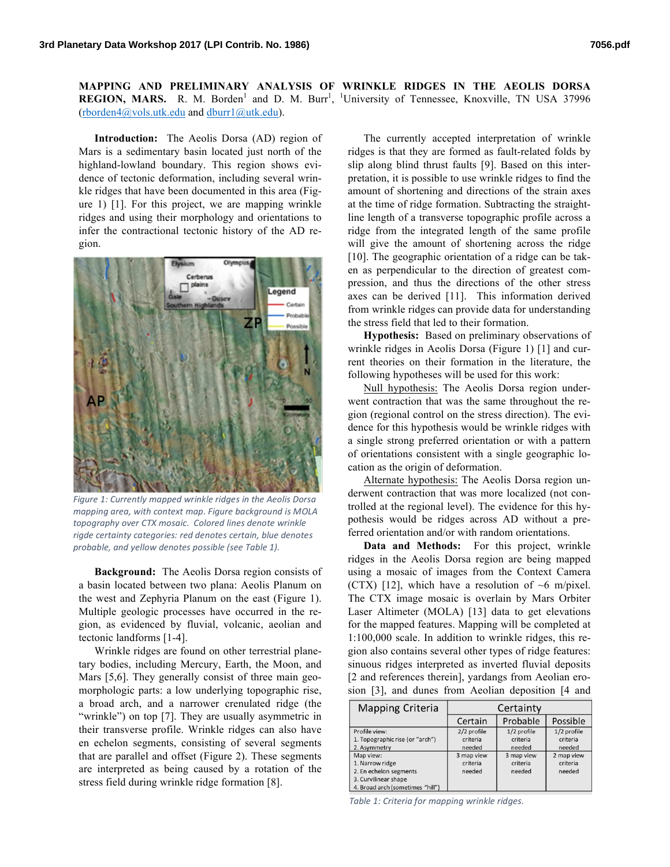**MAPPING AND PRELIMINARY ANALYSIS OF WRINKLE RIDGES IN THE AEOLIS DORSA**  REGION, MARS. R. M. Borden<sup>1</sup> and D. M. Burr<sup>1</sup>, <sup>1</sup>University of Tennessee, Knoxville, TN USA 37996 (rborden4@vols.utk.edu and dburr1@utk.edu).

**Introduction:** The Aeolis Dorsa (AD) region of Mars is a sedimentary basin located just north of the highland-lowland boundary. This region shows evidence of tectonic deformation, including several wrinkle ridges that have been documented in this area (Figure 1) [1]. For this project, we are mapping wrinkle ridges and using their morphology and orientations to infer the contractional tectonic history of the AD region.



Figure 1: Currently mapped wrinkle ridges in the Aeolis Dorsa *mapping area, with context map. Figure background is MOLA* topography over CTX mosaic. Colored lines denote wrinkle rigde certainty categories: red denotes certain, blue denotes *probable, and yellow denotes possible (see Table 1).*

**Background:** The Aeolis Dorsa region consists of a basin located between two plana: Aeolis Planum on the west and Zephyria Planum on the east (Figure 1). Multiple geologic processes have occurred in the region, as evidenced by fluvial, volcanic, aeolian and tectonic landforms [1-4].

Wrinkle ridges are found on other terrestrial planetary bodies, including Mercury, Earth, the Moon, and Mars [5,6]. They generally consist of three main geomorphologic parts: a low underlying topographic rise, a broad arch, and a narrower crenulated ridge (the "wrinkle") on top [7]. They are usually asymmetric in their transverse profile. Wrinkle ridges can also have en echelon segments, consisting of several segments that are parallel and offset (Figure 2). These segments are interpreted as being caused by a rotation of the stress field during wrinkle ridge formation [8].

The currently accepted interpretation of wrinkle ridges is that they are formed as fault-related folds by slip along blind thrust faults [9]. Based on this interpretation, it is possible to use wrinkle ridges to find the amount of shortening and directions of the strain axes at the time of ridge formation. Subtracting the straightline length of a transverse topographic profile across a ridge from the integrated length of the same profile will give the amount of shortening across the ridge [10]. The geographic orientation of a ridge can be taken as perpendicular to the direction of greatest compression, and thus the directions of the other stress axes can be derived [11]. This information derived from wrinkle ridges can provide data for understanding the stress field that led to their formation.

**Hypothesis:** Based on preliminary observations of wrinkle ridges in Aeolis Dorsa (Figure 1) [1] and current theories on their formation in the literature, the following hypotheses will be used for this work:

Null hypothesis: The Aeolis Dorsa region underwent contraction that was the same throughout the region (regional control on the stress direction). The evidence for this hypothesis would be wrinkle ridges with a single strong preferred orientation or with a pattern of orientations consistent with a single geographic location as the origin of deformation.

Alternate hypothesis: The Aeolis Dorsa region underwent contraction that was more localized (not controlled at the regional level). The evidence for this hypothesis would be ridges across AD without a preferred orientation and/or with random orientations.

**Data and Methods:** For this project, wrinkle ridges in the Aeolis Dorsa region are being mapped using a mosaic of images from the Context Camera (CTX) [12], which have a resolution of  $\sim$ 6 m/pixel. The CTX image mosaic is overlain by Mars Orbiter Laser Altimeter (MOLA) [13] data to get elevations for the mapped features. Mapping will be completed at 1:100,000 scale. In addition to wrinkle ridges, this region also contains several other types of ridge features: sinuous ridges interpreted as inverted fluvial deposits [2 and references therein], yardangs from Aeolian erosion [3], and dunes from Aeolian deposition [4 and

| <b>Mapping Criteria</b>          | Certainty   |             |             |
|----------------------------------|-------------|-------------|-------------|
|                                  | Certain     | Probable    | Possible    |
| Profile view:                    | 2/2 profile | 1/2 profile | 1/2 profile |
| 1. Topographic rise (or "arch")  | criteria    | criteria    | criteria    |
| 2. Asymmetry                     | needed      | needed      | needed      |
| Map view:                        | 3 map view  | 3 map view  | 2 map view  |
| 1. Narrow ridge                  | criteria    | criteria    | criteria    |
| 2. En echelon segments           | needed      | needed      | needed      |
| 3. Curvilinear shape             |             |             |             |
| 4. Broad arch (sometimes "hill") |             |             |             |

*Table 1: Criteria for mapping wrinkle ridges.*